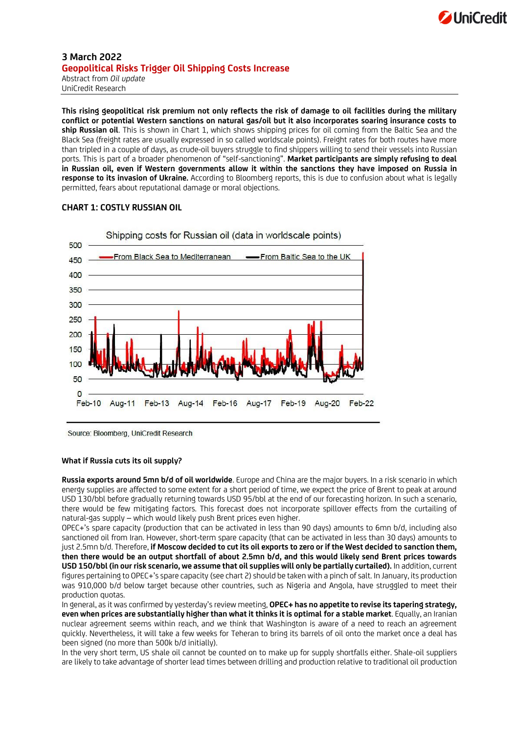

## **3 March 2022 Geopolitical Risks Trigger Oil Shipping Costs Increase** Abstract from *Oil update*

UniCredit Research

**This rising geopolitical risk premium not only reflects the risk of damage to oil facilities during the military conflict or potential Western sanctions on natural gas/oil but it also incorporates soaring insurance costs to ship Russian oil**. This is shown in Chart 1, which shows shipping prices for oil coming from the Baltic Sea and the Black Sea (freight rates are usually expressed in so called worldscale points). Freight rates for both routes have more than tripled in a couple of days, as crude-oil buyers struggle to find shippers willing to send their vessels into Russian ports. This is part of a broader phenomenon of "self-sanctioning". **Market participants are simply refusing to deal in Russian oil, even if Western governments allow it within the sanctions they have imposed on Russia in response to its invasion of Ukraine.** According to Bloomberg reports, this is due to confusion about what is legally permitted, fears about reputational damage or moral objections.

## **CHART 1: COSTLY RUSSIAN OIL**



Shipping costs for Russian oil (data in worldscale points)

Source: Bloomberg, UniCredit Research

## **What if Russia cuts its oil supply?**

**Russia exports around 5mn b/d of oil worldwide**. Europe and China are the major buyers. In a risk scenario in which energy supplies are affected to some extent for a short period of time, we expect the price of Brent to peak at around USD 130/bbl before gradually returning towards USD 95/bbl at the end of our forecasting horizon. In such a scenario, there would be few mitigating factors. This forecast does not incorporate spillover effects from the curtailing of natural-gas supply – which would likely push Brent prices even higher.

OPEC+'s spare capacity (production that can be activated in less than 90 days) amounts to 6mn b/d, including also sanctioned oil from Iran. However, short-term spare capacity (that can be activated in less than 30 days) amounts to just 2.5mn b/d. Therefore, **if Moscow decided to cut its oil exports to zero or if the West decided to sanction them, then there would be an output shortfall of about 2.5mn b/d, and this would likely send Brent prices towards USD 150/bbl (in our risk scenario, we assume that oil supplies will only be partially curtailed).** In addition, current figures pertaining to OPEC+'s spare capacity (see chart 2) should be taken with a pinch of salt. In January, its production was 910,000 b/d below target because other countries, such as Nigeria and Angola, have struggled to meet their production quotas.

In general, as it was confirmed by yesterday's review meeting, **OPEC+ has no appetite to revise its tapering strategy, even when prices are substantially higher than what it thinks it is optimal for a stable market**. Equally, an Iranian nuclear agreement seems within reach, and we think that Washington is aware of a need to reach an agreement quickly. Nevertheless, it will take a few weeks for Teheran to bring its barrels of oil onto the market once a deal has been signed (no more than 500k b/d initially).

In the very short term, US shale oil cannot be counted on to make up for supply shortfalls either. Shale-oil suppliers are likely to take advantage of shorter lead times between drilling and production relative to traditional oil production